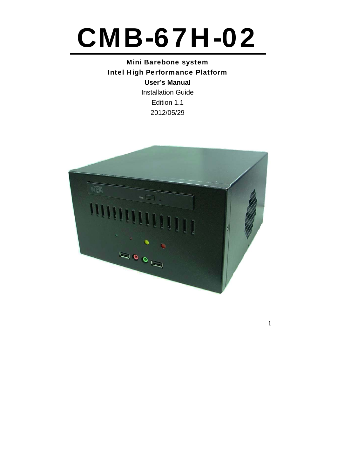# CMB-67H-02

# Mini Barebone system Intel High Performance Platform **User's Manual**  Installation Guide Edition 1.1

2012/05/29

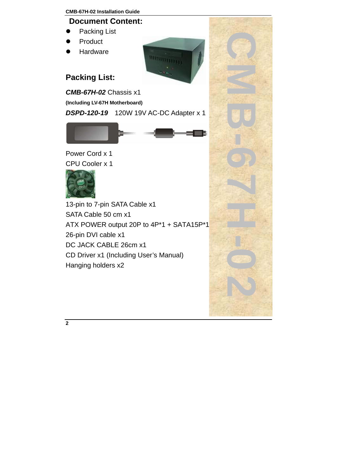## **Document Content:**

- Packing List
- Product
- 



# **Packing List:**

*CMB-67H-02* Chassis x1 **(Including LV-67H Motherboard)**  *DSPD-120-19* 120W 19V AC-DC Adapter x 1



Power Cord x 1 CPU Cooler x 1



13-pin to 7-pin SATA Cable x1 SATA Cable 50 cm x1 ATX POWER output 20P to 4P\*1 + SATA15P\*1 26-pin DVI cable x1 DC JACK CABLE 26cm x1 CD Driver x1 (Including User's Manual) Hanging holders x2

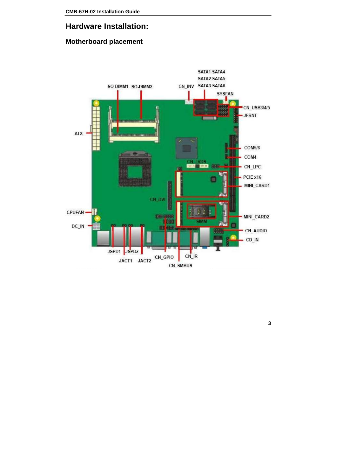## **Hardware Installation:**

## **Motherboard placement**



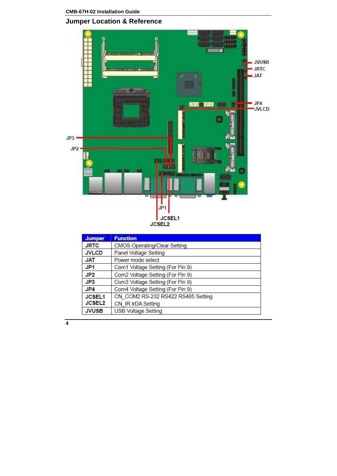



| <b>Jumper</b>   | <b>Function</b>                    |  |
|-----------------|------------------------------------|--|
| <b>JRTC</b>     | CMOS Operating/Clear Setting       |  |
| <b>JVLCD</b>    | Panel Voltage Setting              |  |
| <b>JAT</b>      | Power mode select                  |  |
| JP <sub>1</sub> | Com1 Voltage Setting (For Pin 9)   |  |
| JP <sub>2</sub> | Com2 Voltage Setting (For Pin 9)   |  |
| JP3             | Com3 Voltage Setting (For Pin 9)   |  |
| JP4             | Com4 Voltage Setting (For Pin 9)   |  |
| <b>JCSEL1</b>   | CN COM2 RS-232 RS422 RS485 Setting |  |
| JCSEL2          | CN IR IrDA Setting                 |  |
| <b>JVUSB</b>    | <b>USB Voltage Setting</b>         |  |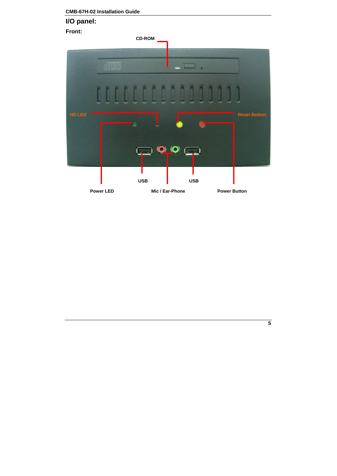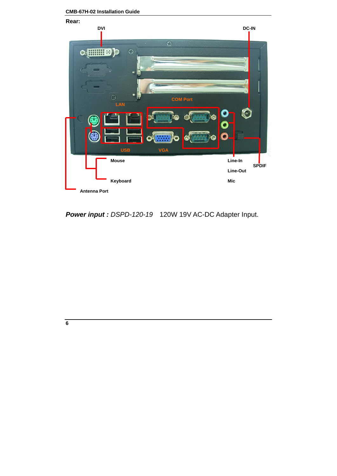**CMB-67H-02 Installation Guide** 



*Power input : DSPD-120-19* 120W 19V AC-DC Adapter Input.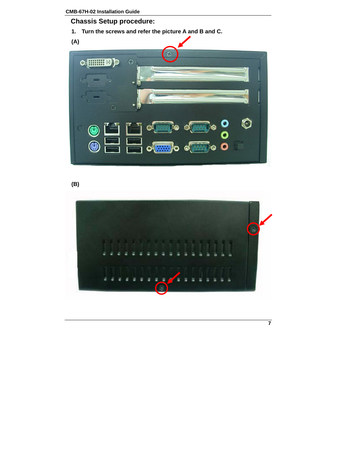**Chassis Setup procedure:** 

**1. Turn the screws and refer the picture A and B and C.** 



**(B)** 

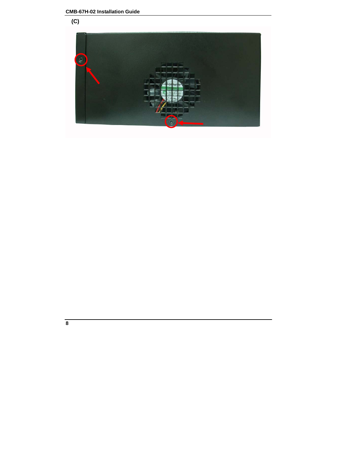

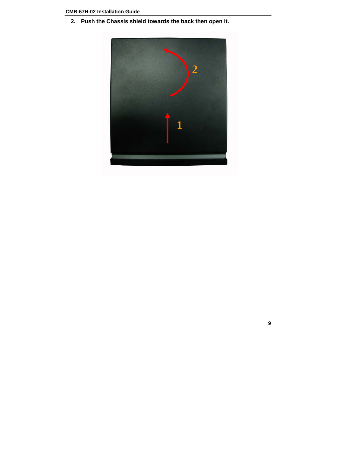**2. Push the Chassis shield towards the back then open it.** 

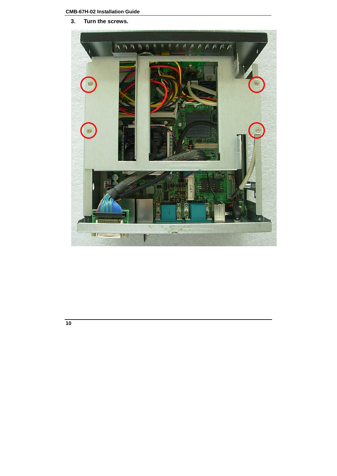**3. Turn the screws.** 



$$
\boldsymbol{10}
$$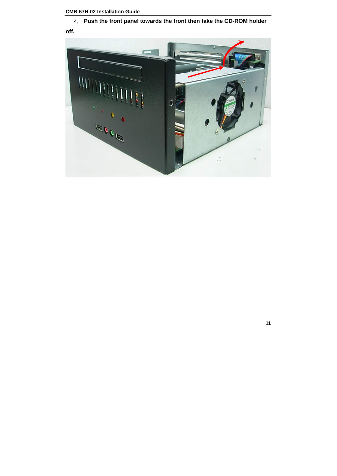4. **Push the front panel towards the front then take the CD-ROM holder off.** 

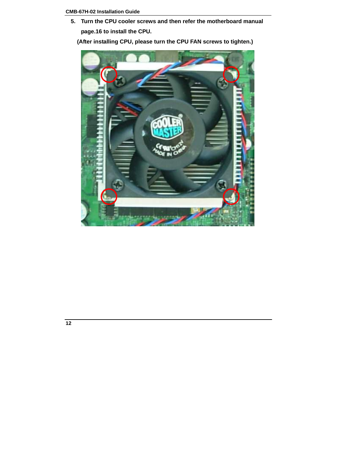**5. Turn the CPU cooler screws and then refer the motherboard manual page.16 to install the CPU.** 

**(After installing CPU, please turn the CPU FAN screws to tighten.)** 



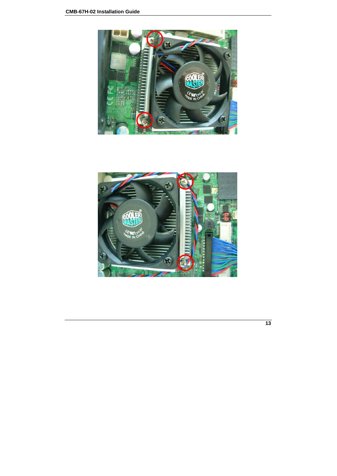



**13**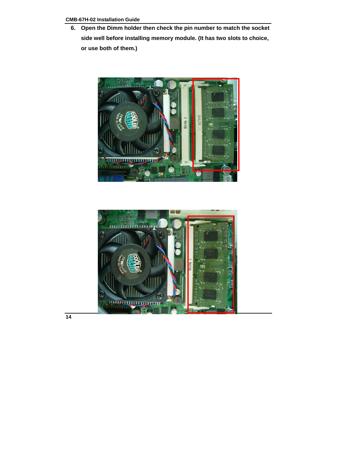**6. Open the Dimm holder then check the pin number to match the socket side well before installing memory module. (It has two slots to choice, or use both of them.)** 





 $\frac{1}{14}$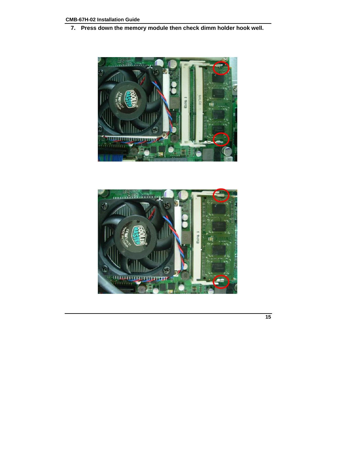**7. Press down the memory module then check dimm holder hook well.** 





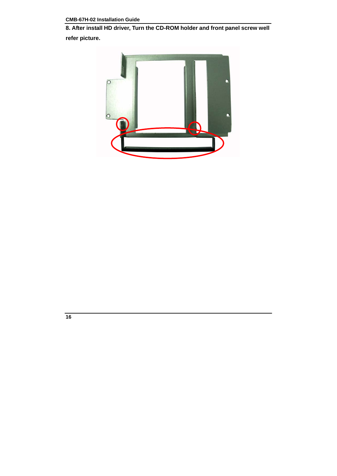**8. After install HD driver, Turn the CD-ROM holder and front panel screw well refer picture.** 

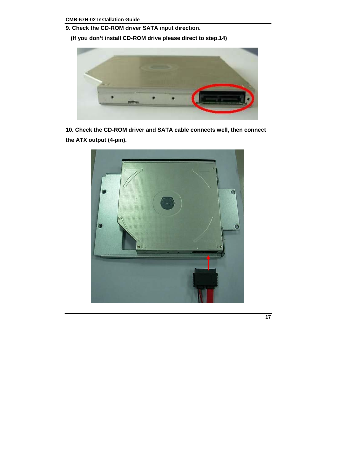**9. Check the CD-ROM driver SATA input direction.** 

**(If you don't install CD-ROM drive please direct to step.14)** 



**10. Check the CD-ROM driver and SATA cable connects well, then connect the ATX output (4-pin).** 



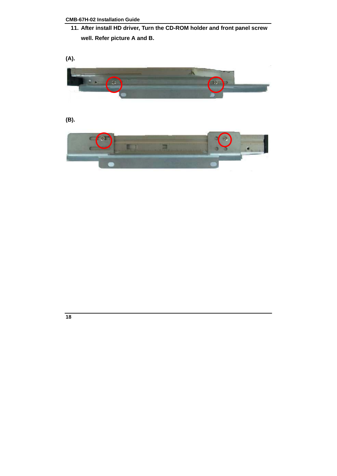**11. After install HD driver, Turn the CD-ROM holder and front panel screw well. Refer picture A and B.** 

**(A).** 



**(B).** 

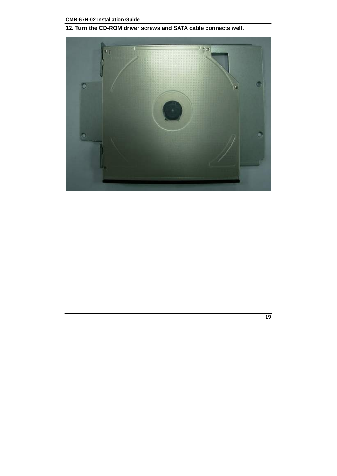#### **12. Turn the CD-ROM driver screws and SATA cable connects well.**

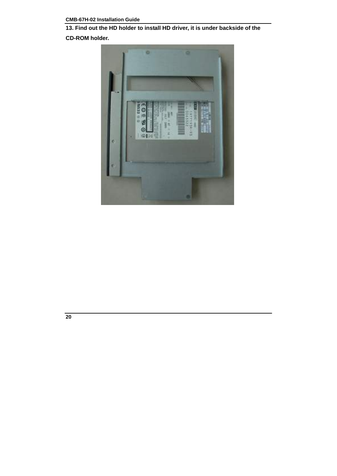**13. Find out the HD holder to install HD driver, it is under backside of the** 

#### **CD-ROM holder.**



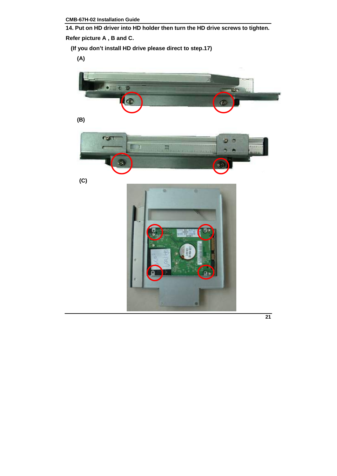**14. Put on HD driver into HD holder then turn the HD drive screws to tighten.** 

### **Refer picture A , B and C.**

**(If you don't install HD drive please direct to step.17)** 

**(A)** 



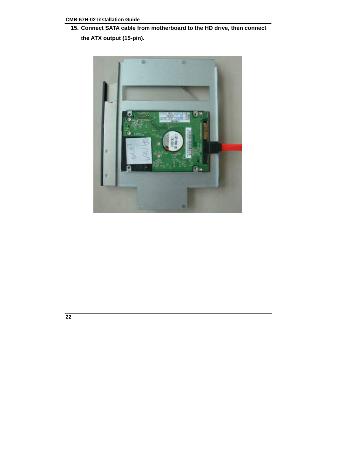**15. Connect SATA cable from motherboard to the HD drive, then connect** 

**the ATX output (15-pin).** 



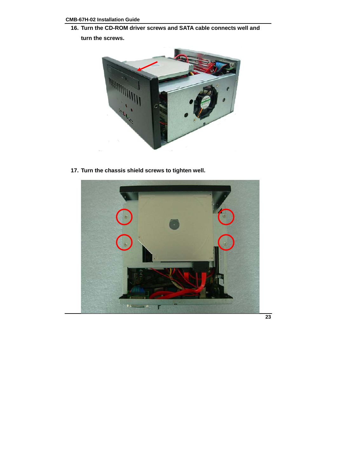- **16. Turn the CD-ROM driver screws and SATA cable connects well and** 
	- **turn the screws.**



**17. Turn the chassis shield screws to tighten well.** 



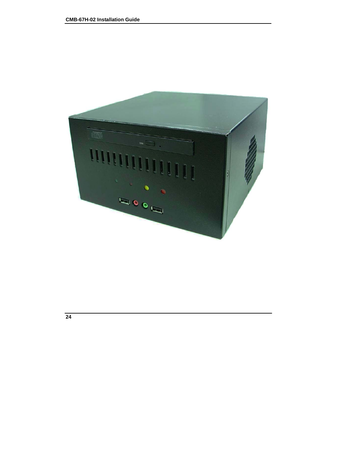

$$
\overline{\mathbf{24}}
$$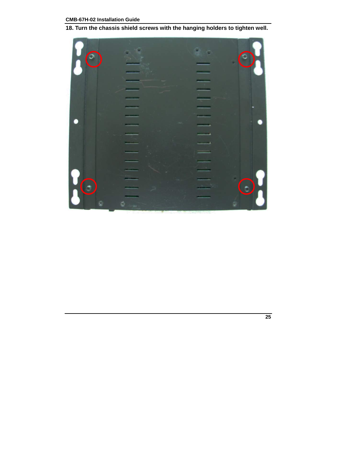**18. Turn the chassis shield screws with the hanging holders to tighten well.** 



**25**